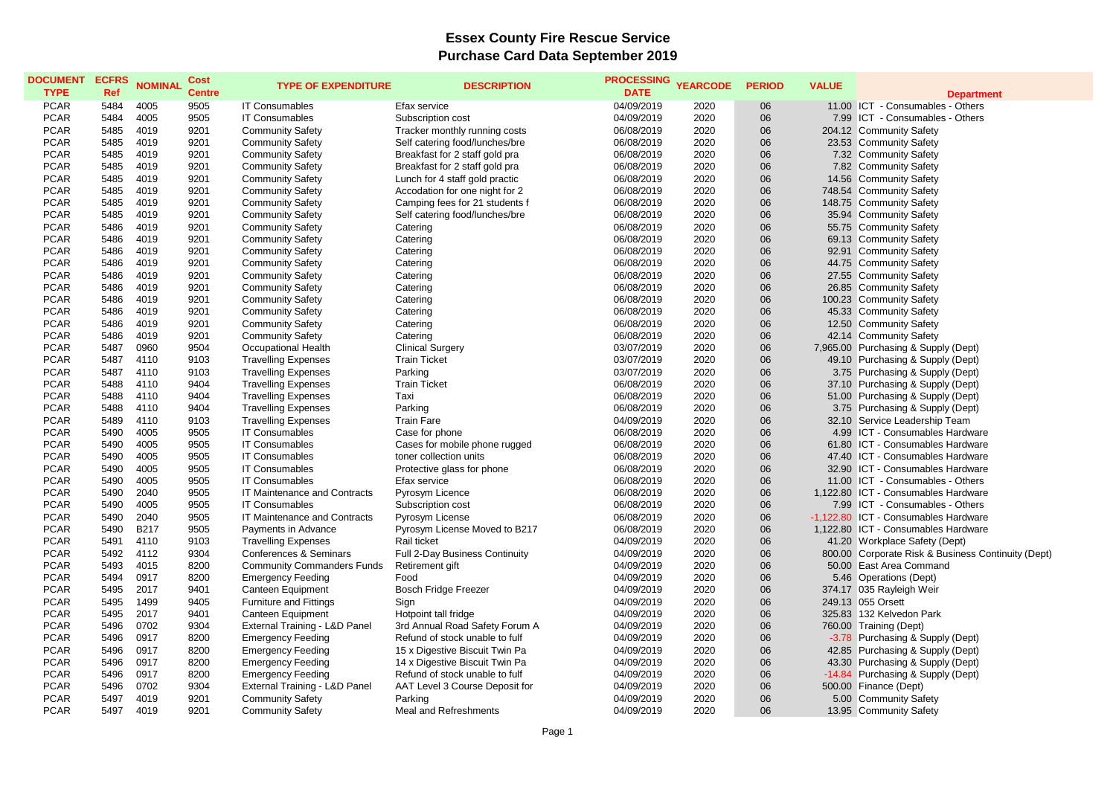## **Essex County Fire Rescue Service Purchase Card Data September 2019**

| <b>Department</b><br><b>PCAR</b><br>5484<br>4005<br>9505<br><b>IT Consumables</b><br>Efax service<br>04/09/2019<br>2020<br>06<br>11.00 ICT - Consumables - Others<br><b>PCAR</b><br>9505<br>2020<br>5484<br>4005<br>06<br>7.99 ICT - Consumables - Others<br><b>IT Consumables</b><br>Subscription cost<br>04/09/2019<br><b>PCAR</b><br>5485<br>4019<br>9201<br>Tracker monthly running costs<br>06/08/2019<br>2020<br>06<br>204.12 Community Safety<br><b>Community Safety</b><br><b>PCAR</b><br>4019<br>2020<br>06<br>5485<br>9201<br><b>Community Safety</b><br>Self catering food/lunches/bre<br>06/08/2019<br>23.53 Community Safety<br><b>PCAR</b><br>5485<br>4019<br>9201<br>2020<br>06<br><b>Community Safety</b><br>Breakfast for 2 staff gold pra<br>06/08/2019<br>7.32 Community Safety<br><b>PCAR</b><br>4019<br>2020<br>06<br>7.82 Community Safety<br>5485<br>9201<br><b>Community Safety</b><br>Breakfast for 2 staff gold pra<br>06/08/2019<br><b>PCAR</b><br>2020<br>06<br>14.56 Community Safety<br>5485<br>4019<br>9201<br><b>Community Safety</b><br>Lunch for 4 staff gold practic<br>06/08/2019<br>2020<br>06<br><b>PCAR</b><br>5485<br>4019<br>9201<br><b>Community Safety</b><br>06/08/2019<br>748.54 Community Safety<br>Accodation for one night for 2<br><b>PCAR</b><br>2020<br>06<br>5485<br>4019<br>9201<br><b>Community Safety</b><br>Camping fees for 21 students f<br>06/08/2019<br>148.75 Community Safety<br><b>PCAR</b><br>9201<br>2020<br>06<br>5485<br>4019<br><b>Community Safety</b><br>06/08/2019<br>35.94 Community Safety<br>Self catering food/lunches/bre<br><b>PCAR</b><br>5486<br>4019<br>9201<br>2020<br>06<br>55.75 Community Safety<br><b>Community Safety</b><br>Catering<br>06/08/2019<br>06<br><b>PCAR</b><br>5486<br>4019<br>9201<br>2020<br>69.13 Community Safety<br><b>Community Safety</b><br>Catering<br>06/08/2019<br><b>PCAR</b><br>5486<br>4019<br>9201<br>06/08/2019<br>2020<br>06<br>92.91 Community Safety<br><b>Community Safety</b><br>Catering<br><b>PCAR</b><br>4019<br>2020<br>06<br>5486<br>9201<br><b>Community Safety</b><br>Catering<br>06/08/2019<br>44.75 Community Safety<br>06<br><b>PCAR</b><br>9201<br>2020<br>5486<br>4019<br><b>Community Safety</b><br>Catering<br>06/08/2019<br>27.55 Community Safety<br><b>PCAR</b><br>4019<br>2020<br>06<br>5486<br>9201<br><b>Community Safety</b><br>Catering<br>06/08/2019<br>26.85 Community Safety<br><b>PCAR</b><br>06<br>5486<br>4019<br>9201<br>2020<br>100.23 Community Safety<br><b>Community Safety</b><br>Catering<br>06/08/2019<br><b>PCAR</b><br>2020<br>06<br>45.33 Community Safety<br>5486<br>4019<br>9201<br>06/08/2019<br><b>Community Safety</b><br>Catering<br><b>PCAR</b><br>5486<br>4019<br>9201<br><b>Community Safety</b><br>06/08/2019<br>2020<br>06<br>12.50 Community Safety<br>Catering<br><b>PCAR</b><br>06<br>5486<br>4019<br>9201<br>06/08/2019<br>2020<br>42.14 Community Safety<br><b>Community Safety</b><br>Catering<br><b>PCAR</b><br>5487<br>0960<br>9504<br><b>Occupational Health</b><br><b>Clinical Surgery</b><br>03/07/2019<br>2020<br>06<br>7,965.00 Purchasing & Supply (Dept)<br><b>PCAR</b><br>5487<br>4110<br>2020<br>06<br>9103<br><b>Travelling Expenses</b><br><b>Train Ticket</b><br>03/07/2019<br>49.10 Purchasing & Supply (Dept)<br><b>PCAR</b><br>5487<br>4110<br>2020<br>06<br>9103<br><b>Travelling Expenses</b><br>Parking<br>03/07/2019<br>3.75 Purchasing & Supply (Dept)<br><b>PCAR</b><br>5488<br>4110<br>9404<br>2020<br>06<br><b>Travelling Expenses</b><br><b>Train Ticket</b><br>06/08/2019<br>37.10 Purchasing & Supply (Dept)<br><b>PCAR</b><br>2020<br>06<br>5488<br>4110<br>9404<br><b>Travelling Expenses</b><br>Taxi<br>06/08/2019<br>51.00 Purchasing & Supply (Dept)<br><b>PCAR</b><br>2020<br>5488<br>4110<br>9404<br><b>Travelling Expenses</b><br>Parking<br>06/08/2019<br>06<br>3.75 Purchasing & Supply (Dept)<br>2020<br>06<br><b>PCAR</b><br>5489<br>4110<br>9103<br><b>Travelling Expenses</b><br><b>Train Fare</b><br>04/09/2019<br>32.10 Service Leadership Team<br><b>PCAR</b><br>2020<br>06<br>5490<br>4005<br>9505<br><b>IT Consumables</b><br>4.99 ICT - Consumables Hardware<br>Case for phone<br>06/08/2019<br><b>PCAR</b><br>5490<br>4005<br>9505<br><b>IT Consumables</b><br>2020<br>06<br>61.80 ICT - Consumables Hardware<br>Cases for mobile phone rugged<br>06/08/2019<br>06<br><b>PCAR</b><br>5490<br>4005<br>9505<br><b>IT Consumables</b><br>2020<br>47.40 ICT - Consumables Hardware<br>toner collection units<br>06/08/2019<br><b>PCAR</b><br>5490<br>4005<br>9505<br>06/08/2019<br>2020<br>06<br>32.90 ICT - Consumables Hardware<br><b>IT Consumables</b><br>Protective glass for phone<br><b>PCAR</b><br>2020<br>06<br>5490<br>4005<br>9505<br><b>IT Consumables</b><br>Efax service<br>06/08/2019<br>11.00 ICT - Consumables - Others<br><b>PCAR</b><br>2040<br>9505<br>2020<br>06<br>1,122.80 ICT - Consumables Hardware<br>5490<br>IT Maintenance and Contracts<br>Pyrosym Licence<br>06/08/2019<br><b>PCAR</b><br>4005<br>9505<br>2020<br>06<br>5490<br><b>IT Consumables</b><br>Subscription cost<br>06/08/2019<br>7.99 ICT - Consumables - Others<br><b>PCAR</b><br>06<br>5490<br>2040<br>9505<br>IT Maintenance and Contracts<br>Pyrosym License<br>06/08/2019<br>2020<br>-1,122.80 ICT - Consumables Hardware<br><b>PCAR</b><br><b>B217</b><br>9505<br>2020<br>06<br>1.122.80 ICT - Consumables Hardware<br>5490<br>Payments in Advance<br>Pyrosym License Moved to B217<br>06/08/2019<br><b>PCAR</b><br>5491<br>4110<br>9103<br>Rail ticket<br>04/09/2019<br>2020<br>06<br><b>Travelling Expenses</b><br>41.20 Workplace Safety (Dept)<br>06<br><b>PCAR</b><br>5492<br>4112<br>9304<br>2020<br>800.00 Corporate Risk & Business Continuity (Dept)<br><b>Conferences &amp; Seminars</b><br>Full 2-Day Business Continuity<br>04/09/2019<br><b>PCAR</b><br>2020<br>5493<br>4015<br>8200<br><b>Community Commanders Funds</b><br>04/09/2019<br>06<br>50.00 East Area Command<br>Retirement gift<br><b>PCAR</b><br>2020<br>06<br>5494<br>0917<br>8200<br><b>Emergency Feeding</b><br>Food<br>04/09/2019<br>5.46 Operations (Dept)<br><b>PCAR</b><br>5495<br>2017<br>9401<br>04/09/2019<br>2020<br>06<br>Canteen Equipment<br><b>Bosch Fridge Freezer</b><br>374.17 035 Rayleigh Weir<br><b>PCAR</b><br>1499<br>2020<br>06<br>5495<br>9405<br><b>Furniture and Fittings</b><br>Sign<br>04/09/2019<br>249.13 055 Orsett<br><b>PCAR</b><br>2017<br>2020<br>06<br>5495<br>9401<br>Canteen Equipment<br>Hotpoint tall fridge<br>04/09/2019<br>325.83 132 Kelvedon Park<br><b>PCAR</b><br>0702<br>2020<br>06<br>5496<br>9304<br>External Training - L&D Panel<br>3rd Annual Road Safety Forum A<br>04/09/2019<br>760.00 Training (Dept)<br>06<br><b>PCAR</b><br>5496<br>0917<br>8200<br><b>Emergency Feeding</b><br>Refund of stock unable to fulf<br>04/09/2019<br>2020<br>-3.78 Purchasing & Supply (Dept)<br><b>PCAR</b><br>2020<br>06<br>5496<br>0917<br>8200<br><b>Emergency Feeding</b><br>15 x Digestive Biscuit Twin Pa<br>04/09/2019<br>42.85 Purchasing & Supply (Dept)<br><b>PCAR</b><br>5496<br>0917<br>8200<br>2020<br>06<br><b>Emergency Feeding</b><br>14 x Digestive Biscuit Twin Pa<br>04/09/2019<br>43.30 Purchasing & Supply (Dept)<br><b>PCAR</b><br>0917<br>2020<br>06<br>-14.84 Purchasing & Supply (Dept)<br>5496<br>8200<br><b>Emergency Feeding</b><br>Refund of stock unable to fulf<br>04/09/2019<br><b>PCAR</b><br>5496<br>0702<br>9304<br>External Training - L&D Panel<br>2020<br>06<br>AAT Level 3 Course Deposit for<br>04/09/2019<br>500.00 Finance (Dept)<br><b>PCAR</b><br>5497<br>4019<br>9201<br>2020<br>06<br><b>Community Safety</b><br>Parking<br>04/09/2019<br>5.00 Community Safety<br><b>PCAR</b><br>4019<br>9201<br>2020<br>06<br>5497<br><b>Community Safety</b><br>Meal and Refreshments<br>04/09/2019<br>13.95 Community Safety | <b>DOCUMENT</b> | <b>ECFRS</b> | <b>NOMINAL</b> | <b>Cost</b>   | <b>TYPE OF EXPENDITURE</b> | <b>DESCRIPTION</b> | <b>PROCESSING</b> | <b>YEARCODE</b> | <b>PERIOD</b> | <b>VALUE</b> |  |
|--------------------------------------------------------------------------------------------------------------------------------------------------------------------------------------------------------------------------------------------------------------------------------------------------------------------------------------------------------------------------------------------------------------------------------------------------------------------------------------------------------------------------------------------------------------------------------------------------------------------------------------------------------------------------------------------------------------------------------------------------------------------------------------------------------------------------------------------------------------------------------------------------------------------------------------------------------------------------------------------------------------------------------------------------------------------------------------------------------------------------------------------------------------------------------------------------------------------------------------------------------------------------------------------------------------------------------------------------------------------------------------------------------------------------------------------------------------------------------------------------------------------------------------------------------------------------------------------------------------------------------------------------------------------------------------------------------------------------------------------------------------------------------------------------------------------------------------------------------------------------------------------------------------------------------------------------------------------------------------------------------------------------------------------------------------------------------------------------------------------------------------------------------------------------------------------------------------------------------------------------------------------------------------------------------------------------------------------------------------------------------------------------------------------------------------------------------------------------------------------------------------------------------------------------------------------------------------------------------------------------------------------------------------------------------------------------------------------------------------------------------------------------------------------------------------------------------------------------------------------------------------------------------------------------------------------------------------------------------------------------------------------------------------------------------------------------------------------------------------------------------------------------------------------------------------------------------------------------------------------------------------------------------------------------------------------------------------------------------------------------------------------------------------------------------------------------------------------------------------------------------------------------------------------------------------------------------------------------------------------------------------------------------------------------------------------------------------------------------------------------------------------------------------------------------------------------------------------------------------------------------------------------------------------------------------------------------------------------------------------------------------------------------------------------------------------------------------------------------------------------------------------------------------------------------------------------------------------------------------------------------------------------------------------------------------------------------------------------------------------------------------------------------------------------------------------------------------------------------------------------------------------------------------------------------------------------------------------------------------------------------------------------------------------------------------------------------------------------------------------------------------------------------------------------------------------------------------------------------------------------------------------------------------------------------------------------------------------------------------------------------------------------------------------------------------------------------------------------------------------------------------------------------------------------------------------------------------------------------------------------------------------------------------------------------------------------------------------------------------------------------------------------------------------------------------------------------------------------------------------------------------------------------------------------------------------------------------------------------------------------------------------------------------------------------------------------------------------------------------------------------------------------------------------------------------------------------------------------------------------------------------------------------------------------------------------------------------------------------------------------------------------------------------------------------------------------------------------------------------------------------------------------------------------------------------------------------------------------------------------------------------------------------------------------------------------------------------------------------------------------------------------------------------------------------------------------------------------------------------------------------------------------------------------------------------------------------------------------------------------------------------------------------------------------------------------------------------------------------------------------------------------------------------------------------------------------------------------------------------------------------------------------------------------------------------------------------------------------------------------------------------------------------------------------------------------------------------------------------------------------------------------------------------------------------------------------------------------------------------------------------------------------------------------------------------------------------------------------------------------------------------------------------------------------------------------------------------------------------------------------------------------------------------------------------------------------------------------------------------------------------------------------------------------------------------------------------------------------------------------------------------------------------------------------------------------------------------------------------------------------------------------------------------|-----------------|--------------|----------------|---------------|----------------------------|--------------------|-------------------|-----------------|---------------|--------------|--|
|                                                                                                                                                                                                                                                                                                                                                                                                                                                                                                                                                                                                                                                                                                                                                                                                                                                                                                                                                                                                                                                                                                                                                                                                                                                                                                                                                                                                                                                                                                                                                                                                                                                                                                                                                                                                                                                                                                                                                                                                                                                                                                                                                                                                                                                                                                                                                                                                                                                                                                                                                                                                                                                                                                                                                                                                                                                                                                                                                                                                                                                                                                                                                                                                                                                                                                                                                                                                                                                                                                                                                                                                                                                                                                                                                                                                                                                                                                                                                                                                                                                                                                                                                                                                                                                                                                                                                                                                                                                                                                                                                                                                                                                                                                                                                                                                                                                                                                                                                                                                                                                                                                                                                                                                                                                                                                                                                                                                                                                                                                                                                                                                                                                                                                                                                                                                                                                                                                                                                                                                                                                                                                                                                                                                                                                                                                                                                                                                                                                                                                                                                                                                                                                                                                                                                                                                                                                                                                                                                                                                                                                                                                                                                                                                                                                                                                                                                                                                                                                                                                                                                                                                                                                                                                                                                                                                                                                                                                              | <b>TYPE</b>     | Ref          |                | <b>Centre</b> |                            |                    | <b>DATE</b>       |                 |               |              |  |
|                                                                                                                                                                                                                                                                                                                                                                                                                                                                                                                                                                                                                                                                                                                                                                                                                                                                                                                                                                                                                                                                                                                                                                                                                                                                                                                                                                                                                                                                                                                                                                                                                                                                                                                                                                                                                                                                                                                                                                                                                                                                                                                                                                                                                                                                                                                                                                                                                                                                                                                                                                                                                                                                                                                                                                                                                                                                                                                                                                                                                                                                                                                                                                                                                                                                                                                                                                                                                                                                                                                                                                                                                                                                                                                                                                                                                                                                                                                                                                                                                                                                                                                                                                                                                                                                                                                                                                                                                                                                                                                                                                                                                                                                                                                                                                                                                                                                                                                                                                                                                                                                                                                                                                                                                                                                                                                                                                                                                                                                                                                                                                                                                                                                                                                                                                                                                                                                                                                                                                                                                                                                                                                                                                                                                                                                                                                                                                                                                                                                                                                                                                                                                                                                                                                                                                                                                                                                                                                                                                                                                                                                                                                                                                                                                                                                                                                                                                                                                                                                                                                                                                                                                                                                                                                                                                                                                                                                                                              |                 |              |                |               |                            |                    |                   |                 |               |              |  |
|                                                                                                                                                                                                                                                                                                                                                                                                                                                                                                                                                                                                                                                                                                                                                                                                                                                                                                                                                                                                                                                                                                                                                                                                                                                                                                                                                                                                                                                                                                                                                                                                                                                                                                                                                                                                                                                                                                                                                                                                                                                                                                                                                                                                                                                                                                                                                                                                                                                                                                                                                                                                                                                                                                                                                                                                                                                                                                                                                                                                                                                                                                                                                                                                                                                                                                                                                                                                                                                                                                                                                                                                                                                                                                                                                                                                                                                                                                                                                                                                                                                                                                                                                                                                                                                                                                                                                                                                                                                                                                                                                                                                                                                                                                                                                                                                                                                                                                                                                                                                                                                                                                                                                                                                                                                                                                                                                                                                                                                                                                                                                                                                                                                                                                                                                                                                                                                                                                                                                                                                                                                                                                                                                                                                                                                                                                                                                                                                                                                                                                                                                                                                                                                                                                                                                                                                                                                                                                                                                                                                                                                                                                                                                                                                                                                                                                                                                                                                                                                                                                                                                                                                                                                                                                                                                                                                                                                                                                              |                 |              |                |               |                            |                    |                   |                 |               |              |  |
|                                                                                                                                                                                                                                                                                                                                                                                                                                                                                                                                                                                                                                                                                                                                                                                                                                                                                                                                                                                                                                                                                                                                                                                                                                                                                                                                                                                                                                                                                                                                                                                                                                                                                                                                                                                                                                                                                                                                                                                                                                                                                                                                                                                                                                                                                                                                                                                                                                                                                                                                                                                                                                                                                                                                                                                                                                                                                                                                                                                                                                                                                                                                                                                                                                                                                                                                                                                                                                                                                                                                                                                                                                                                                                                                                                                                                                                                                                                                                                                                                                                                                                                                                                                                                                                                                                                                                                                                                                                                                                                                                                                                                                                                                                                                                                                                                                                                                                                                                                                                                                                                                                                                                                                                                                                                                                                                                                                                                                                                                                                                                                                                                                                                                                                                                                                                                                                                                                                                                                                                                                                                                                                                                                                                                                                                                                                                                                                                                                                                                                                                                                                                                                                                                                                                                                                                                                                                                                                                                                                                                                                                                                                                                                                                                                                                                                                                                                                                                                                                                                                                                                                                                                                                                                                                                                                                                                                                                                              |                 |              |                |               |                            |                    |                   |                 |               |              |  |
|                                                                                                                                                                                                                                                                                                                                                                                                                                                                                                                                                                                                                                                                                                                                                                                                                                                                                                                                                                                                                                                                                                                                                                                                                                                                                                                                                                                                                                                                                                                                                                                                                                                                                                                                                                                                                                                                                                                                                                                                                                                                                                                                                                                                                                                                                                                                                                                                                                                                                                                                                                                                                                                                                                                                                                                                                                                                                                                                                                                                                                                                                                                                                                                                                                                                                                                                                                                                                                                                                                                                                                                                                                                                                                                                                                                                                                                                                                                                                                                                                                                                                                                                                                                                                                                                                                                                                                                                                                                                                                                                                                                                                                                                                                                                                                                                                                                                                                                                                                                                                                                                                                                                                                                                                                                                                                                                                                                                                                                                                                                                                                                                                                                                                                                                                                                                                                                                                                                                                                                                                                                                                                                                                                                                                                                                                                                                                                                                                                                                                                                                                                                                                                                                                                                                                                                                                                                                                                                                                                                                                                                                                                                                                                                                                                                                                                                                                                                                                                                                                                                                                                                                                                                                                                                                                                                                                                                                                                              |                 |              |                |               |                            |                    |                   |                 |               |              |  |
|                                                                                                                                                                                                                                                                                                                                                                                                                                                                                                                                                                                                                                                                                                                                                                                                                                                                                                                                                                                                                                                                                                                                                                                                                                                                                                                                                                                                                                                                                                                                                                                                                                                                                                                                                                                                                                                                                                                                                                                                                                                                                                                                                                                                                                                                                                                                                                                                                                                                                                                                                                                                                                                                                                                                                                                                                                                                                                                                                                                                                                                                                                                                                                                                                                                                                                                                                                                                                                                                                                                                                                                                                                                                                                                                                                                                                                                                                                                                                                                                                                                                                                                                                                                                                                                                                                                                                                                                                                                                                                                                                                                                                                                                                                                                                                                                                                                                                                                                                                                                                                                                                                                                                                                                                                                                                                                                                                                                                                                                                                                                                                                                                                                                                                                                                                                                                                                                                                                                                                                                                                                                                                                                                                                                                                                                                                                                                                                                                                                                                                                                                                                                                                                                                                                                                                                                                                                                                                                                                                                                                                                                                                                                                                                                                                                                                                                                                                                                                                                                                                                                                                                                                                                                                                                                                                                                                                                                                                              |                 |              |                |               |                            |                    |                   |                 |               |              |  |
|                                                                                                                                                                                                                                                                                                                                                                                                                                                                                                                                                                                                                                                                                                                                                                                                                                                                                                                                                                                                                                                                                                                                                                                                                                                                                                                                                                                                                                                                                                                                                                                                                                                                                                                                                                                                                                                                                                                                                                                                                                                                                                                                                                                                                                                                                                                                                                                                                                                                                                                                                                                                                                                                                                                                                                                                                                                                                                                                                                                                                                                                                                                                                                                                                                                                                                                                                                                                                                                                                                                                                                                                                                                                                                                                                                                                                                                                                                                                                                                                                                                                                                                                                                                                                                                                                                                                                                                                                                                                                                                                                                                                                                                                                                                                                                                                                                                                                                                                                                                                                                                                                                                                                                                                                                                                                                                                                                                                                                                                                                                                                                                                                                                                                                                                                                                                                                                                                                                                                                                                                                                                                                                                                                                                                                                                                                                                                                                                                                                                                                                                                                                                                                                                                                                                                                                                                                                                                                                                                                                                                                                                                                                                                                                                                                                                                                                                                                                                                                                                                                                                                                                                                                                                                                                                                                                                                                                                                                              |                 |              |                |               |                            |                    |                   |                 |               |              |  |
|                                                                                                                                                                                                                                                                                                                                                                                                                                                                                                                                                                                                                                                                                                                                                                                                                                                                                                                                                                                                                                                                                                                                                                                                                                                                                                                                                                                                                                                                                                                                                                                                                                                                                                                                                                                                                                                                                                                                                                                                                                                                                                                                                                                                                                                                                                                                                                                                                                                                                                                                                                                                                                                                                                                                                                                                                                                                                                                                                                                                                                                                                                                                                                                                                                                                                                                                                                                                                                                                                                                                                                                                                                                                                                                                                                                                                                                                                                                                                                                                                                                                                                                                                                                                                                                                                                                                                                                                                                                                                                                                                                                                                                                                                                                                                                                                                                                                                                                                                                                                                                                                                                                                                                                                                                                                                                                                                                                                                                                                                                                                                                                                                                                                                                                                                                                                                                                                                                                                                                                                                                                                                                                                                                                                                                                                                                                                                                                                                                                                                                                                                                                                                                                                                                                                                                                                                                                                                                                                                                                                                                                                                                                                                                                                                                                                                                                                                                                                                                                                                                                                                                                                                                                                                                                                                                                                                                                                                                              |                 |              |                |               |                            |                    |                   |                 |               |              |  |
|                                                                                                                                                                                                                                                                                                                                                                                                                                                                                                                                                                                                                                                                                                                                                                                                                                                                                                                                                                                                                                                                                                                                                                                                                                                                                                                                                                                                                                                                                                                                                                                                                                                                                                                                                                                                                                                                                                                                                                                                                                                                                                                                                                                                                                                                                                                                                                                                                                                                                                                                                                                                                                                                                                                                                                                                                                                                                                                                                                                                                                                                                                                                                                                                                                                                                                                                                                                                                                                                                                                                                                                                                                                                                                                                                                                                                                                                                                                                                                                                                                                                                                                                                                                                                                                                                                                                                                                                                                                                                                                                                                                                                                                                                                                                                                                                                                                                                                                                                                                                                                                                                                                                                                                                                                                                                                                                                                                                                                                                                                                                                                                                                                                                                                                                                                                                                                                                                                                                                                                                                                                                                                                                                                                                                                                                                                                                                                                                                                                                                                                                                                                                                                                                                                                                                                                                                                                                                                                                                                                                                                                                                                                                                                                                                                                                                                                                                                                                                                                                                                                                                                                                                                                                                                                                                                                                                                                                                                              |                 |              |                |               |                            |                    |                   |                 |               |              |  |
|                                                                                                                                                                                                                                                                                                                                                                                                                                                                                                                                                                                                                                                                                                                                                                                                                                                                                                                                                                                                                                                                                                                                                                                                                                                                                                                                                                                                                                                                                                                                                                                                                                                                                                                                                                                                                                                                                                                                                                                                                                                                                                                                                                                                                                                                                                                                                                                                                                                                                                                                                                                                                                                                                                                                                                                                                                                                                                                                                                                                                                                                                                                                                                                                                                                                                                                                                                                                                                                                                                                                                                                                                                                                                                                                                                                                                                                                                                                                                                                                                                                                                                                                                                                                                                                                                                                                                                                                                                                                                                                                                                                                                                                                                                                                                                                                                                                                                                                                                                                                                                                                                                                                                                                                                                                                                                                                                                                                                                                                                                                                                                                                                                                                                                                                                                                                                                                                                                                                                                                                                                                                                                                                                                                                                                                                                                                                                                                                                                                                                                                                                                                                                                                                                                                                                                                                                                                                                                                                                                                                                                                                                                                                                                                                                                                                                                                                                                                                                                                                                                                                                                                                                                                                                                                                                                                                                                                                                                              |                 |              |                |               |                            |                    |                   |                 |               |              |  |
|                                                                                                                                                                                                                                                                                                                                                                                                                                                                                                                                                                                                                                                                                                                                                                                                                                                                                                                                                                                                                                                                                                                                                                                                                                                                                                                                                                                                                                                                                                                                                                                                                                                                                                                                                                                                                                                                                                                                                                                                                                                                                                                                                                                                                                                                                                                                                                                                                                                                                                                                                                                                                                                                                                                                                                                                                                                                                                                                                                                                                                                                                                                                                                                                                                                                                                                                                                                                                                                                                                                                                                                                                                                                                                                                                                                                                                                                                                                                                                                                                                                                                                                                                                                                                                                                                                                                                                                                                                                                                                                                                                                                                                                                                                                                                                                                                                                                                                                                                                                                                                                                                                                                                                                                                                                                                                                                                                                                                                                                                                                                                                                                                                                                                                                                                                                                                                                                                                                                                                                                                                                                                                                                                                                                                                                                                                                                                                                                                                                                                                                                                                                                                                                                                                                                                                                                                                                                                                                                                                                                                                                                                                                                                                                                                                                                                                                                                                                                                                                                                                                                                                                                                                                                                                                                                                                                                                                                                                              |                 |              |                |               |                            |                    |                   |                 |               |              |  |
|                                                                                                                                                                                                                                                                                                                                                                                                                                                                                                                                                                                                                                                                                                                                                                                                                                                                                                                                                                                                                                                                                                                                                                                                                                                                                                                                                                                                                                                                                                                                                                                                                                                                                                                                                                                                                                                                                                                                                                                                                                                                                                                                                                                                                                                                                                                                                                                                                                                                                                                                                                                                                                                                                                                                                                                                                                                                                                                                                                                                                                                                                                                                                                                                                                                                                                                                                                                                                                                                                                                                                                                                                                                                                                                                                                                                                                                                                                                                                                                                                                                                                                                                                                                                                                                                                                                                                                                                                                                                                                                                                                                                                                                                                                                                                                                                                                                                                                                                                                                                                                                                                                                                                                                                                                                                                                                                                                                                                                                                                                                                                                                                                                                                                                                                                                                                                                                                                                                                                                                                                                                                                                                                                                                                                                                                                                                                                                                                                                                                                                                                                                                                                                                                                                                                                                                                                                                                                                                                                                                                                                                                                                                                                                                                                                                                                                                                                                                                                                                                                                                                                                                                                                                                                                                                                                                                                                                                                                              |                 |              |                |               |                            |                    |                   |                 |               |              |  |
|                                                                                                                                                                                                                                                                                                                                                                                                                                                                                                                                                                                                                                                                                                                                                                                                                                                                                                                                                                                                                                                                                                                                                                                                                                                                                                                                                                                                                                                                                                                                                                                                                                                                                                                                                                                                                                                                                                                                                                                                                                                                                                                                                                                                                                                                                                                                                                                                                                                                                                                                                                                                                                                                                                                                                                                                                                                                                                                                                                                                                                                                                                                                                                                                                                                                                                                                                                                                                                                                                                                                                                                                                                                                                                                                                                                                                                                                                                                                                                                                                                                                                                                                                                                                                                                                                                                                                                                                                                                                                                                                                                                                                                                                                                                                                                                                                                                                                                                                                                                                                                                                                                                                                                                                                                                                                                                                                                                                                                                                                                                                                                                                                                                                                                                                                                                                                                                                                                                                                                                                                                                                                                                                                                                                                                                                                                                                                                                                                                                                                                                                                                                                                                                                                                                                                                                                                                                                                                                                                                                                                                                                                                                                                                                                                                                                                                                                                                                                                                                                                                                                                                                                                                                                                                                                                                                                                                                                                                              |                 |              |                |               |                            |                    |                   |                 |               |              |  |
|                                                                                                                                                                                                                                                                                                                                                                                                                                                                                                                                                                                                                                                                                                                                                                                                                                                                                                                                                                                                                                                                                                                                                                                                                                                                                                                                                                                                                                                                                                                                                                                                                                                                                                                                                                                                                                                                                                                                                                                                                                                                                                                                                                                                                                                                                                                                                                                                                                                                                                                                                                                                                                                                                                                                                                                                                                                                                                                                                                                                                                                                                                                                                                                                                                                                                                                                                                                                                                                                                                                                                                                                                                                                                                                                                                                                                                                                                                                                                                                                                                                                                                                                                                                                                                                                                                                                                                                                                                                                                                                                                                                                                                                                                                                                                                                                                                                                                                                                                                                                                                                                                                                                                                                                                                                                                                                                                                                                                                                                                                                                                                                                                                                                                                                                                                                                                                                                                                                                                                                                                                                                                                                                                                                                                                                                                                                                                                                                                                                                                                                                                                                                                                                                                                                                                                                                                                                                                                                                                                                                                                                                                                                                                                                                                                                                                                                                                                                                                                                                                                                                                                                                                                                                                                                                                                                                                                                                                                              |                 |              |                |               |                            |                    |                   |                 |               |              |  |
|                                                                                                                                                                                                                                                                                                                                                                                                                                                                                                                                                                                                                                                                                                                                                                                                                                                                                                                                                                                                                                                                                                                                                                                                                                                                                                                                                                                                                                                                                                                                                                                                                                                                                                                                                                                                                                                                                                                                                                                                                                                                                                                                                                                                                                                                                                                                                                                                                                                                                                                                                                                                                                                                                                                                                                                                                                                                                                                                                                                                                                                                                                                                                                                                                                                                                                                                                                                                                                                                                                                                                                                                                                                                                                                                                                                                                                                                                                                                                                                                                                                                                                                                                                                                                                                                                                                                                                                                                                                                                                                                                                                                                                                                                                                                                                                                                                                                                                                                                                                                                                                                                                                                                                                                                                                                                                                                                                                                                                                                                                                                                                                                                                                                                                                                                                                                                                                                                                                                                                                                                                                                                                                                                                                                                                                                                                                                                                                                                                                                                                                                                                                                                                                                                                                                                                                                                                                                                                                                                                                                                                                                                                                                                                                                                                                                                                                                                                                                                                                                                                                                                                                                                                                                                                                                                                                                                                                                                                              |                 |              |                |               |                            |                    |                   |                 |               |              |  |
|                                                                                                                                                                                                                                                                                                                                                                                                                                                                                                                                                                                                                                                                                                                                                                                                                                                                                                                                                                                                                                                                                                                                                                                                                                                                                                                                                                                                                                                                                                                                                                                                                                                                                                                                                                                                                                                                                                                                                                                                                                                                                                                                                                                                                                                                                                                                                                                                                                                                                                                                                                                                                                                                                                                                                                                                                                                                                                                                                                                                                                                                                                                                                                                                                                                                                                                                                                                                                                                                                                                                                                                                                                                                                                                                                                                                                                                                                                                                                                                                                                                                                                                                                                                                                                                                                                                                                                                                                                                                                                                                                                                                                                                                                                                                                                                                                                                                                                                                                                                                                                                                                                                                                                                                                                                                                                                                                                                                                                                                                                                                                                                                                                                                                                                                                                                                                                                                                                                                                                                                                                                                                                                                                                                                                                                                                                                                                                                                                                                                                                                                                                                                                                                                                                                                                                                                                                                                                                                                                                                                                                                                                                                                                                                                                                                                                                                                                                                                                                                                                                                                                                                                                                                                                                                                                                                                                                                                                                              |                 |              |                |               |                            |                    |                   |                 |               |              |  |
|                                                                                                                                                                                                                                                                                                                                                                                                                                                                                                                                                                                                                                                                                                                                                                                                                                                                                                                                                                                                                                                                                                                                                                                                                                                                                                                                                                                                                                                                                                                                                                                                                                                                                                                                                                                                                                                                                                                                                                                                                                                                                                                                                                                                                                                                                                                                                                                                                                                                                                                                                                                                                                                                                                                                                                                                                                                                                                                                                                                                                                                                                                                                                                                                                                                                                                                                                                                                                                                                                                                                                                                                                                                                                                                                                                                                                                                                                                                                                                                                                                                                                                                                                                                                                                                                                                                                                                                                                                                                                                                                                                                                                                                                                                                                                                                                                                                                                                                                                                                                                                                                                                                                                                                                                                                                                                                                                                                                                                                                                                                                                                                                                                                                                                                                                                                                                                                                                                                                                                                                                                                                                                                                                                                                                                                                                                                                                                                                                                                                                                                                                                                                                                                                                                                                                                                                                                                                                                                                                                                                                                                                                                                                                                                                                                                                                                                                                                                                                                                                                                                                                                                                                                                                                                                                                                                                                                                                                                              |                 |              |                |               |                            |                    |                   |                 |               |              |  |
|                                                                                                                                                                                                                                                                                                                                                                                                                                                                                                                                                                                                                                                                                                                                                                                                                                                                                                                                                                                                                                                                                                                                                                                                                                                                                                                                                                                                                                                                                                                                                                                                                                                                                                                                                                                                                                                                                                                                                                                                                                                                                                                                                                                                                                                                                                                                                                                                                                                                                                                                                                                                                                                                                                                                                                                                                                                                                                                                                                                                                                                                                                                                                                                                                                                                                                                                                                                                                                                                                                                                                                                                                                                                                                                                                                                                                                                                                                                                                                                                                                                                                                                                                                                                                                                                                                                                                                                                                                                                                                                                                                                                                                                                                                                                                                                                                                                                                                                                                                                                                                                                                                                                                                                                                                                                                                                                                                                                                                                                                                                                                                                                                                                                                                                                                                                                                                                                                                                                                                                                                                                                                                                                                                                                                                                                                                                                                                                                                                                                                                                                                                                                                                                                                                                                                                                                                                                                                                                                                                                                                                                                                                                                                                                                                                                                                                                                                                                                                                                                                                                                                                                                                                                                                                                                                                                                                                                                                                              |                 |              |                |               |                            |                    |                   |                 |               |              |  |
|                                                                                                                                                                                                                                                                                                                                                                                                                                                                                                                                                                                                                                                                                                                                                                                                                                                                                                                                                                                                                                                                                                                                                                                                                                                                                                                                                                                                                                                                                                                                                                                                                                                                                                                                                                                                                                                                                                                                                                                                                                                                                                                                                                                                                                                                                                                                                                                                                                                                                                                                                                                                                                                                                                                                                                                                                                                                                                                                                                                                                                                                                                                                                                                                                                                                                                                                                                                                                                                                                                                                                                                                                                                                                                                                                                                                                                                                                                                                                                                                                                                                                                                                                                                                                                                                                                                                                                                                                                                                                                                                                                                                                                                                                                                                                                                                                                                                                                                                                                                                                                                                                                                                                                                                                                                                                                                                                                                                                                                                                                                                                                                                                                                                                                                                                                                                                                                                                                                                                                                                                                                                                                                                                                                                                                                                                                                                                                                                                                                                                                                                                                                                                                                                                                                                                                                                                                                                                                                                                                                                                                                                                                                                                                                                                                                                                                                                                                                                                                                                                                                                                                                                                                                                                                                                                                                                                                                                                                              |                 |              |                |               |                            |                    |                   |                 |               |              |  |
|                                                                                                                                                                                                                                                                                                                                                                                                                                                                                                                                                                                                                                                                                                                                                                                                                                                                                                                                                                                                                                                                                                                                                                                                                                                                                                                                                                                                                                                                                                                                                                                                                                                                                                                                                                                                                                                                                                                                                                                                                                                                                                                                                                                                                                                                                                                                                                                                                                                                                                                                                                                                                                                                                                                                                                                                                                                                                                                                                                                                                                                                                                                                                                                                                                                                                                                                                                                                                                                                                                                                                                                                                                                                                                                                                                                                                                                                                                                                                                                                                                                                                                                                                                                                                                                                                                                                                                                                                                                                                                                                                                                                                                                                                                                                                                                                                                                                                                                                                                                                                                                                                                                                                                                                                                                                                                                                                                                                                                                                                                                                                                                                                                                                                                                                                                                                                                                                                                                                                                                                                                                                                                                                                                                                                                                                                                                                                                                                                                                                                                                                                                                                                                                                                                                                                                                                                                                                                                                                                                                                                                                                                                                                                                                                                                                                                                                                                                                                                                                                                                                                                                                                                                                                                                                                                                                                                                                                                                              |                 |              |                |               |                            |                    |                   |                 |               |              |  |
|                                                                                                                                                                                                                                                                                                                                                                                                                                                                                                                                                                                                                                                                                                                                                                                                                                                                                                                                                                                                                                                                                                                                                                                                                                                                                                                                                                                                                                                                                                                                                                                                                                                                                                                                                                                                                                                                                                                                                                                                                                                                                                                                                                                                                                                                                                                                                                                                                                                                                                                                                                                                                                                                                                                                                                                                                                                                                                                                                                                                                                                                                                                                                                                                                                                                                                                                                                                                                                                                                                                                                                                                                                                                                                                                                                                                                                                                                                                                                                                                                                                                                                                                                                                                                                                                                                                                                                                                                                                                                                                                                                                                                                                                                                                                                                                                                                                                                                                                                                                                                                                                                                                                                                                                                                                                                                                                                                                                                                                                                                                                                                                                                                                                                                                                                                                                                                                                                                                                                                                                                                                                                                                                                                                                                                                                                                                                                                                                                                                                                                                                                                                                                                                                                                                                                                                                                                                                                                                                                                                                                                                                                                                                                                                                                                                                                                                                                                                                                                                                                                                                                                                                                                                                                                                                                                                                                                                                                                              |                 |              |                |               |                            |                    |                   |                 |               |              |  |
|                                                                                                                                                                                                                                                                                                                                                                                                                                                                                                                                                                                                                                                                                                                                                                                                                                                                                                                                                                                                                                                                                                                                                                                                                                                                                                                                                                                                                                                                                                                                                                                                                                                                                                                                                                                                                                                                                                                                                                                                                                                                                                                                                                                                                                                                                                                                                                                                                                                                                                                                                                                                                                                                                                                                                                                                                                                                                                                                                                                                                                                                                                                                                                                                                                                                                                                                                                                                                                                                                                                                                                                                                                                                                                                                                                                                                                                                                                                                                                                                                                                                                                                                                                                                                                                                                                                                                                                                                                                                                                                                                                                                                                                                                                                                                                                                                                                                                                                                                                                                                                                                                                                                                                                                                                                                                                                                                                                                                                                                                                                                                                                                                                                                                                                                                                                                                                                                                                                                                                                                                                                                                                                                                                                                                                                                                                                                                                                                                                                                                                                                                                                                                                                                                                                                                                                                                                                                                                                                                                                                                                                                                                                                                                                                                                                                                                                                                                                                                                                                                                                                                                                                                                                                                                                                                                                                                                                                                                              |                 |              |                |               |                            |                    |                   |                 |               |              |  |
|                                                                                                                                                                                                                                                                                                                                                                                                                                                                                                                                                                                                                                                                                                                                                                                                                                                                                                                                                                                                                                                                                                                                                                                                                                                                                                                                                                                                                                                                                                                                                                                                                                                                                                                                                                                                                                                                                                                                                                                                                                                                                                                                                                                                                                                                                                                                                                                                                                                                                                                                                                                                                                                                                                                                                                                                                                                                                                                                                                                                                                                                                                                                                                                                                                                                                                                                                                                                                                                                                                                                                                                                                                                                                                                                                                                                                                                                                                                                                                                                                                                                                                                                                                                                                                                                                                                                                                                                                                                                                                                                                                                                                                                                                                                                                                                                                                                                                                                                                                                                                                                                                                                                                                                                                                                                                                                                                                                                                                                                                                                                                                                                                                                                                                                                                                                                                                                                                                                                                                                                                                                                                                                                                                                                                                                                                                                                                                                                                                                                                                                                                                                                                                                                                                                                                                                                                                                                                                                                                                                                                                                                                                                                                                                                                                                                                                                                                                                                                                                                                                                                                                                                                                                                                                                                                                                                                                                                                                              |                 |              |                |               |                            |                    |                   |                 |               |              |  |
|                                                                                                                                                                                                                                                                                                                                                                                                                                                                                                                                                                                                                                                                                                                                                                                                                                                                                                                                                                                                                                                                                                                                                                                                                                                                                                                                                                                                                                                                                                                                                                                                                                                                                                                                                                                                                                                                                                                                                                                                                                                                                                                                                                                                                                                                                                                                                                                                                                                                                                                                                                                                                                                                                                                                                                                                                                                                                                                                                                                                                                                                                                                                                                                                                                                                                                                                                                                                                                                                                                                                                                                                                                                                                                                                                                                                                                                                                                                                                                                                                                                                                                                                                                                                                                                                                                                                                                                                                                                                                                                                                                                                                                                                                                                                                                                                                                                                                                                                                                                                                                                                                                                                                                                                                                                                                                                                                                                                                                                                                                                                                                                                                                                                                                                                                                                                                                                                                                                                                                                                                                                                                                                                                                                                                                                                                                                                                                                                                                                                                                                                                                                                                                                                                                                                                                                                                                                                                                                                                                                                                                                                                                                                                                                                                                                                                                                                                                                                                                                                                                                                                                                                                                                                                                                                                                                                                                                                                                              |                 |              |                |               |                            |                    |                   |                 |               |              |  |
|                                                                                                                                                                                                                                                                                                                                                                                                                                                                                                                                                                                                                                                                                                                                                                                                                                                                                                                                                                                                                                                                                                                                                                                                                                                                                                                                                                                                                                                                                                                                                                                                                                                                                                                                                                                                                                                                                                                                                                                                                                                                                                                                                                                                                                                                                                                                                                                                                                                                                                                                                                                                                                                                                                                                                                                                                                                                                                                                                                                                                                                                                                                                                                                                                                                                                                                                                                                                                                                                                                                                                                                                                                                                                                                                                                                                                                                                                                                                                                                                                                                                                                                                                                                                                                                                                                                                                                                                                                                                                                                                                                                                                                                                                                                                                                                                                                                                                                                                                                                                                                                                                                                                                                                                                                                                                                                                                                                                                                                                                                                                                                                                                                                                                                                                                                                                                                                                                                                                                                                                                                                                                                                                                                                                                                                                                                                                                                                                                                                                                                                                                                                                                                                                                                                                                                                                                                                                                                                                                                                                                                                                                                                                                                                                                                                                                                                                                                                                                                                                                                                                                                                                                                                                                                                                                                                                                                                                                                              |                 |              |                |               |                            |                    |                   |                 |               |              |  |
|                                                                                                                                                                                                                                                                                                                                                                                                                                                                                                                                                                                                                                                                                                                                                                                                                                                                                                                                                                                                                                                                                                                                                                                                                                                                                                                                                                                                                                                                                                                                                                                                                                                                                                                                                                                                                                                                                                                                                                                                                                                                                                                                                                                                                                                                                                                                                                                                                                                                                                                                                                                                                                                                                                                                                                                                                                                                                                                                                                                                                                                                                                                                                                                                                                                                                                                                                                                                                                                                                                                                                                                                                                                                                                                                                                                                                                                                                                                                                                                                                                                                                                                                                                                                                                                                                                                                                                                                                                                                                                                                                                                                                                                                                                                                                                                                                                                                                                                                                                                                                                                                                                                                                                                                                                                                                                                                                                                                                                                                                                                                                                                                                                                                                                                                                                                                                                                                                                                                                                                                                                                                                                                                                                                                                                                                                                                                                                                                                                                                                                                                                                                                                                                                                                                                                                                                                                                                                                                                                                                                                                                                                                                                                                                                                                                                                                                                                                                                                                                                                                                                                                                                                                                                                                                                                                                                                                                                                                              |                 |              |                |               |                            |                    |                   |                 |               |              |  |
|                                                                                                                                                                                                                                                                                                                                                                                                                                                                                                                                                                                                                                                                                                                                                                                                                                                                                                                                                                                                                                                                                                                                                                                                                                                                                                                                                                                                                                                                                                                                                                                                                                                                                                                                                                                                                                                                                                                                                                                                                                                                                                                                                                                                                                                                                                                                                                                                                                                                                                                                                                                                                                                                                                                                                                                                                                                                                                                                                                                                                                                                                                                                                                                                                                                                                                                                                                                                                                                                                                                                                                                                                                                                                                                                                                                                                                                                                                                                                                                                                                                                                                                                                                                                                                                                                                                                                                                                                                                                                                                                                                                                                                                                                                                                                                                                                                                                                                                                                                                                                                                                                                                                                                                                                                                                                                                                                                                                                                                                                                                                                                                                                                                                                                                                                                                                                                                                                                                                                                                                                                                                                                                                                                                                                                                                                                                                                                                                                                                                                                                                                                                                                                                                                                                                                                                                                                                                                                                                                                                                                                                                                                                                                                                                                                                                                                                                                                                                                                                                                                                                                                                                                                                                                                                                                                                                                                                                                                              |                 |              |                |               |                            |                    |                   |                 |               |              |  |
|                                                                                                                                                                                                                                                                                                                                                                                                                                                                                                                                                                                                                                                                                                                                                                                                                                                                                                                                                                                                                                                                                                                                                                                                                                                                                                                                                                                                                                                                                                                                                                                                                                                                                                                                                                                                                                                                                                                                                                                                                                                                                                                                                                                                                                                                                                                                                                                                                                                                                                                                                                                                                                                                                                                                                                                                                                                                                                                                                                                                                                                                                                                                                                                                                                                                                                                                                                                                                                                                                                                                                                                                                                                                                                                                                                                                                                                                                                                                                                                                                                                                                                                                                                                                                                                                                                                                                                                                                                                                                                                                                                                                                                                                                                                                                                                                                                                                                                                                                                                                                                                                                                                                                                                                                                                                                                                                                                                                                                                                                                                                                                                                                                                                                                                                                                                                                                                                                                                                                                                                                                                                                                                                                                                                                                                                                                                                                                                                                                                                                                                                                                                                                                                                                                                                                                                                                                                                                                                                                                                                                                                                                                                                                                                                                                                                                                                                                                                                                                                                                                                                                                                                                                                                                                                                                                                                                                                                                                              |                 |              |                |               |                            |                    |                   |                 |               |              |  |
|                                                                                                                                                                                                                                                                                                                                                                                                                                                                                                                                                                                                                                                                                                                                                                                                                                                                                                                                                                                                                                                                                                                                                                                                                                                                                                                                                                                                                                                                                                                                                                                                                                                                                                                                                                                                                                                                                                                                                                                                                                                                                                                                                                                                                                                                                                                                                                                                                                                                                                                                                                                                                                                                                                                                                                                                                                                                                                                                                                                                                                                                                                                                                                                                                                                                                                                                                                                                                                                                                                                                                                                                                                                                                                                                                                                                                                                                                                                                                                                                                                                                                                                                                                                                                                                                                                                                                                                                                                                                                                                                                                                                                                                                                                                                                                                                                                                                                                                                                                                                                                                                                                                                                                                                                                                                                                                                                                                                                                                                                                                                                                                                                                                                                                                                                                                                                                                                                                                                                                                                                                                                                                                                                                                                                                                                                                                                                                                                                                                                                                                                                                                                                                                                                                                                                                                                                                                                                                                                                                                                                                                                                                                                                                                                                                                                                                                                                                                                                                                                                                                                                                                                                                                                                                                                                                                                                                                                                                              |                 |              |                |               |                            |                    |                   |                 |               |              |  |
|                                                                                                                                                                                                                                                                                                                                                                                                                                                                                                                                                                                                                                                                                                                                                                                                                                                                                                                                                                                                                                                                                                                                                                                                                                                                                                                                                                                                                                                                                                                                                                                                                                                                                                                                                                                                                                                                                                                                                                                                                                                                                                                                                                                                                                                                                                                                                                                                                                                                                                                                                                                                                                                                                                                                                                                                                                                                                                                                                                                                                                                                                                                                                                                                                                                                                                                                                                                                                                                                                                                                                                                                                                                                                                                                                                                                                                                                                                                                                                                                                                                                                                                                                                                                                                                                                                                                                                                                                                                                                                                                                                                                                                                                                                                                                                                                                                                                                                                                                                                                                                                                                                                                                                                                                                                                                                                                                                                                                                                                                                                                                                                                                                                                                                                                                                                                                                                                                                                                                                                                                                                                                                                                                                                                                                                                                                                                                                                                                                                                                                                                                                                                                                                                                                                                                                                                                                                                                                                                                                                                                                                                                                                                                                                                                                                                                                                                                                                                                                                                                                                                                                                                                                                                                                                                                                                                                                                                                                              |                 |              |                |               |                            |                    |                   |                 |               |              |  |
|                                                                                                                                                                                                                                                                                                                                                                                                                                                                                                                                                                                                                                                                                                                                                                                                                                                                                                                                                                                                                                                                                                                                                                                                                                                                                                                                                                                                                                                                                                                                                                                                                                                                                                                                                                                                                                                                                                                                                                                                                                                                                                                                                                                                                                                                                                                                                                                                                                                                                                                                                                                                                                                                                                                                                                                                                                                                                                                                                                                                                                                                                                                                                                                                                                                                                                                                                                                                                                                                                                                                                                                                                                                                                                                                                                                                                                                                                                                                                                                                                                                                                                                                                                                                                                                                                                                                                                                                                                                                                                                                                                                                                                                                                                                                                                                                                                                                                                                                                                                                                                                                                                                                                                                                                                                                                                                                                                                                                                                                                                                                                                                                                                                                                                                                                                                                                                                                                                                                                                                                                                                                                                                                                                                                                                                                                                                                                                                                                                                                                                                                                                                                                                                                                                                                                                                                                                                                                                                                                                                                                                                                                                                                                                                                                                                                                                                                                                                                                                                                                                                                                                                                                                                                                                                                                                                                                                                                                                              |                 |              |                |               |                            |                    |                   |                 |               |              |  |
|                                                                                                                                                                                                                                                                                                                                                                                                                                                                                                                                                                                                                                                                                                                                                                                                                                                                                                                                                                                                                                                                                                                                                                                                                                                                                                                                                                                                                                                                                                                                                                                                                                                                                                                                                                                                                                                                                                                                                                                                                                                                                                                                                                                                                                                                                                                                                                                                                                                                                                                                                                                                                                                                                                                                                                                                                                                                                                                                                                                                                                                                                                                                                                                                                                                                                                                                                                                                                                                                                                                                                                                                                                                                                                                                                                                                                                                                                                                                                                                                                                                                                                                                                                                                                                                                                                                                                                                                                                                                                                                                                                                                                                                                                                                                                                                                                                                                                                                                                                                                                                                                                                                                                                                                                                                                                                                                                                                                                                                                                                                                                                                                                                                                                                                                                                                                                                                                                                                                                                                                                                                                                                                                                                                                                                                                                                                                                                                                                                                                                                                                                                                                                                                                                                                                                                                                                                                                                                                                                                                                                                                                                                                                                                                                                                                                                                                                                                                                                                                                                                                                                                                                                                                                                                                                                                                                                                                                                                              |                 |              |                |               |                            |                    |                   |                 |               |              |  |
|                                                                                                                                                                                                                                                                                                                                                                                                                                                                                                                                                                                                                                                                                                                                                                                                                                                                                                                                                                                                                                                                                                                                                                                                                                                                                                                                                                                                                                                                                                                                                                                                                                                                                                                                                                                                                                                                                                                                                                                                                                                                                                                                                                                                                                                                                                                                                                                                                                                                                                                                                                                                                                                                                                                                                                                                                                                                                                                                                                                                                                                                                                                                                                                                                                                                                                                                                                                                                                                                                                                                                                                                                                                                                                                                                                                                                                                                                                                                                                                                                                                                                                                                                                                                                                                                                                                                                                                                                                                                                                                                                                                                                                                                                                                                                                                                                                                                                                                                                                                                                                                                                                                                                                                                                                                                                                                                                                                                                                                                                                                                                                                                                                                                                                                                                                                                                                                                                                                                                                                                                                                                                                                                                                                                                                                                                                                                                                                                                                                                                                                                                                                                                                                                                                                                                                                                                                                                                                                                                                                                                                                                                                                                                                                                                                                                                                                                                                                                                                                                                                                                                                                                                                                                                                                                                                                                                                                                                                              |                 |              |                |               |                            |                    |                   |                 |               |              |  |
|                                                                                                                                                                                                                                                                                                                                                                                                                                                                                                                                                                                                                                                                                                                                                                                                                                                                                                                                                                                                                                                                                                                                                                                                                                                                                                                                                                                                                                                                                                                                                                                                                                                                                                                                                                                                                                                                                                                                                                                                                                                                                                                                                                                                                                                                                                                                                                                                                                                                                                                                                                                                                                                                                                                                                                                                                                                                                                                                                                                                                                                                                                                                                                                                                                                                                                                                                                                                                                                                                                                                                                                                                                                                                                                                                                                                                                                                                                                                                                                                                                                                                                                                                                                                                                                                                                                                                                                                                                                                                                                                                                                                                                                                                                                                                                                                                                                                                                                                                                                                                                                                                                                                                                                                                                                                                                                                                                                                                                                                                                                                                                                                                                                                                                                                                                                                                                                                                                                                                                                                                                                                                                                                                                                                                                                                                                                                                                                                                                                                                                                                                                                                                                                                                                                                                                                                                                                                                                                                                                                                                                                                                                                                                                                                                                                                                                                                                                                                                                                                                                                                                                                                                                                                                                                                                                                                                                                                                                              |                 |              |                |               |                            |                    |                   |                 |               |              |  |
|                                                                                                                                                                                                                                                                                                                                                                                                                                                                                                                                                                                                                                                                                                                                                                                                                                                                                                                                                                                                                                                                                                                                                                                                                                                                                                                                                                                                                                                                                                                                                                                                                                                                                                                                                                                                                                                                                                                                                                                                                                                                                                                                                                                                                                                                                                                                                                                                                                                                                                                                                                                                                                                                                                                                                                                                                                                                                                                                                                                                                                                                                                                                                                                                                                                                                                                                                                                                                                                                                                                                                                                                                                                                                                                                                                                                                                                                                                                                                                                                                                                                                                                                                                                                                                                                                                                                                                                                                                                                                                                                                                                                                                                                                                                                                                                                                                                                                                                                                                                                                                                                                                                                                                                                                                                                                                                                                                                                                                                                                                                                                                                                                                                                                                                                                                                                                                                                                                                                                                                                                                                                                                                                                                                                                                                                                                                                                                                                                                                                                                                                                                                                                                                                                                                                                                                                                                                                                                                                                                                                                                                                                                                                                                                                                                                                                                                                                                                                                                                                                                                                                                                                                                                                                                                                                                                                                                                                                                              |                 |              |                |               |                            |                    |                   |                 |               |              |  |
|                                                                                                                                                                                                                                                                                                                                                                                                                                                                                                                                                                                                                                                                                                                                                                                                                                                                                                                                                                                                                                                                                                                                                                                                                                                                                                                                                                                                                                                                                                                                                                                                                                                                                                                                                                                                                                                                                                                                                                                                                                                                                                                                                                                                                                                                                                                                                                                                                                                                                                                                                                                                                                                                                                                                                                                                                                                                                                                                                                                                                                                                                                                                                                                                                                                                                                                                                                                                                                                                                                                                                                                                                                                                                                                                                                                                                                                                                                                                                                                                                                                                                                                                                                                                                                                                                                                                                                                                                                                                                                                                                                                                                                                                                                                                                                                                                                                                                                                                                                                                                                                                                                                                                                                                                                                                                                                                                                                                                                                                                                                                                                                                                                                                                                                                                                                                                                                                                                                                                                                                                                                                                                                                                                                                                                                                                                                                                                                                                                                                                                                                                                                                                                                                                                                                                                                                                                                                                                                                                                                                                                                                                                                                                                                                                                                                                                                                                                                                                                                                                                                                                                                                                                                                                                                                                                                                                                                                                                              |                 |              |                |               |                            |                    |                   |                 |               |              |  |
|                                                                                                                                                                                                                                                                                                                                                                                                                                                                                                                                                                                                                                                                                                                                                                                                                                                                                                                                                                                                                                                                                                                                                                                                                                                                                                                                                                                                                                                                                                                                                                                                                                                                                                                                                                                                                                                                                                                                                                                                                                                                                                                                                                                                                                                                                                                                                                                                                                                                                                                                                                                                                                                                                                                                                                                                                                                                                                                                                                                                                                                                                                                                                                                                                                                                                                                                                                                                                                                                                                                                                                                                                                                                                                                                                                                                                                                                                                                                                                                                                                                                                                                                                                                                                                                                                                                                                                                                                                                                                                                                                                                                                                                                                                                                                                                                                                                                                                                                                                                                                                                                                                                                                                                                                                                                                                                                                                                                                                                                                                                                                                                                                                                                                                                                                                                                                                                                                                                                                                                                                                                                                                                                                                                                                                                                                                                                                                                                                                                                                                                                                                                                                                                                                                                                                                                                                                                                                                                                                                                                                                                                                                                                                                                                                                                                                                                                                                                                                                                                                                                                                                                                                                                                                                                                                                                                                                                                                                              |                 |              |                |               |                            |                    |                   |                 |               |              |  |
|                                                                                                                                                                                                                                                                                                                                                                                                                                                                                                                                                                                                                                                                                                                                                                                                                                                                                                                                                                                                                                                                                                                                                                                                                                                                                                                                                                                                                                                                                                                                                                                                                                                                                                                                                                                                                                                                                                                                                                                                                                                                                                                                                                                                                                                                                                                                                                                                                                                                                                                                                                                                                                                                                                                                                                                                                                                                                                                                                                                                                                                                                                                                                                                                                                                                                                                                                                                                                                                                                                                                                                                                                                                                                                                                                                                                                                                                                                                                                                                                                                                                                                                                                                                                                                                                                                                                                                                                                                                                                                                                                                                                                                                                                                                                                                                                                                                                                                                                                                                                                                                                                                                                                                                                                                                                                                                                                                                                                                                                                                                                                                                                                                                                                                                                                                                                                                                                                                                                                                                                                                                                                                                                                                                                                                                                                                                                                                                                                                                                                                                                                                                                                                                                                                                                                                                                                                                                                                                                                                                                                                                                                                                                                                                                                                                                                                                                                                                                                                                                                                                                                                                                                                                                                                                                                                                                                                                                                                              |                 |              |                |               |                            |                    |                   |                 |               |              |  |
|                                                                                                                                                                                                                                                                                                                                                                                                                                                                                                                                                                                                                                                                                                                                                                                                                                                                                                                                                                                                                                                                                                                                                                                                                                                                                                                                                                                                                                                                                                                                                                                                                                                                                                                                                                                                                                                                                                                                                                                                                                                                                                                                                                                                                                                                                                                                                                                                                                                                                                                                                                                                                                                                                                                                                                                                                                                                                                                                                                                                                                                                                                                                                                                                                                                                                                                                                                                                                                                                                                                                                                                                                                                                                                                                                                                                                                                                                                                                                                                                                                                                                                                                                                                                                                                                                                                                                                                                                                                                                                                                                                                                                                                                                                                                                                                                                                                                                                                                                                                                                                                                                                                                                                                                                                                                                                                                                                                                                                                                                                                                                                                                                                                                                                                                                                                                                                                                                                                                                                                                                                                                                                                                                                                                                                                                                                                                                                                                                                                                                                                                                                                                                                                                                                                                                                                                                                                                                                                                                                                                                                                                                                                                                                                                                                                                                                                                                                                                                                                                                                                                                                                                                                                                                                                                                                                                                                                                                                              |                 |              |                |               |                            |                    |                   |                 |               |              |  |
|                                                                                                                                                                                                                                                                                                                                                                                                                                                                                                                                                                                                                                                                                                                                                                                                                                                                                                                                                                                                                                                                                                                                                                                                                                                                                                                                                                                                                                                                                                                                                                                                                                                                                                                                                                                                                                                                                                                                                                                                                                                                                                                                                                                                                                                                                                                                                                                                                                                                                                                                                                                                                                                                                                                                                                                                                                                                                                                                                                                                                                                                                                                                                                                                                                                                                                                                                                                                                                                                                                                                                                                                                                                                                                                                                                                                                                                                                                                                                                                                                                                                                                                                                                                                                                                                                                                                                                                                                                                                                                                                                                                                                                                                                                                                                                                                                                                                                                                                                                                                                                                                                                                                                                                                                                                                                                                                                                                                                                                                                                                                                                                                                                                                                                                                                                                                                                                                                                                                                                                                                                                                                                                                                                                                                                                                                                                                                                                                                                                                                                                                                                                                                                                                                                                                                                                                                                                                                                                                                                                                                                                                                                                                                                                                                                                                                                                                                                                                                                                                                                                                                                                                                                                                                                                                                                                                                                                                                                              |                 |              |                |               |                            |                    |                   |                 |               |              |  |
|                                                                                                                                                                                                                                                                                                                                                                                                                                                                                                                                                                                                                                                                                                                                                                                                                                                                                                                                                                                                                                                                                                                                                                                                                                                                                                                                                                                                                                                                                                                                                                                                                                                                                                                                                                                                                                                                                                                                                                                                                                                                                                                                                                                                                                                                                                                                                                                                                                                                                                                                                                                                                                                                                                                                                                                                                                                                                                                                                                                                                                                                                                                                                                                                                                                                                                                                                                                                                                                                                                                                                                                                                                                                                                                                                                                                                                                                                                                                                                                                                                                                                                                                                                                                                                                                                                                                                                                                                                                                                                                                                                                                                                                                                                                                                                                                                                                                                                                                                                                                                                                                                                                                                                                                                                                                                                                                                                                                                                                                                                                                                                                                                                                                                                                                                                                                                                                                                                                                                                                                                                                                                                                                                                                                                                                                                                                                                                                                                                                                                                                                                                                                                                                                                                                                                                                                                                                                                                                                                                                                                                                                                                                                                                                                                                                                                                                                                                                                                                                                                                                                                                                                                                                                                                                                                                                                                                                                                                              |                 |              |                |               |                            |                    |                   |                 |               |              |  |
|                                                                                                                                                                                                                                                                                                                                                                                                                                                                                                                                                                                                                                                                                                                                                                                                                                                                                                                                                                                                                                                                                                                                                                                                                                                                                                                                                                                                                                                                                                                                                                                                                                                                                                                                                                                                                                                                                                                                                                                                                                                                                                                                                                                                                                                                                                                                                                                                                                                                                                                                                                                                                                                                                                                                                                                                                                                                                                                                                                                                                                                                                                                                                                                                                                                                                                                                                                                                                                                                                                                                                                                                                                                                                                                                                                                                                                                                                                                                                                                                                                                                                                                                                                                                                                                                                                                                                                                                                                                                                                                                                                                                                                                                                                                                                                                                                                                                                                                                                                                                                                                                                                                                                                                                                                                                                                                                                                                                                                                                                                                                                                                                                                                                                                                                                                                                                                                                                                                                                                                                                                                                                                                                                                                                                                                                                                                                                                                                                                                                                                                                                                                                                                                                                                                                                                                                                                                                                                                                                                                                                                                                                                                                                                                                                                                                                                                                                                                                                                                                                                                                                                                                                                                                                                                                                                                                                                                                                                              |                 |              |                |               |                            |                    |                   |                 |               |              |  |
|                                                                                                                                                                                                                                                                                                                                                                                                                                                                                                                                                                                                                                                                                                                                                                                                                                                                                                                                                                                                                                                                                                                                                                                                                                                                                                                                                                                                                                                                                                                                                                                                                                                                                                                                                                                                                                                                                                                                                                                                                                                                                                                                                                                                                                                                                                                                                                                                                                                                                                                                                                                                                                                                                                                                                                                                                                                                                                                                                                                                                                                                                                                                                                                                                                                                                                                                                                                                                                                                                                                                                                                                                                                                                                                                                                                                                                                                                                                                                                                                                                                                                                                                                                                                                                                                                                                                                                                                                                                                                                                                                                                                                                                                                                                                                                                                                                                                                                                                                                                                                                                                                                                                                                                                                                                                                                                                                                                                                                                                                                                                                                                                                                                                                                                                                                                                                                                                                                                                                                                                                                                                                                                                                                                                                                                                                                                                                                                                                                                                                                                                                                                                                                                                                                                                                                                                                                                                                                                                                                                                                                                                                                                                                                                                                                                                                                                                                                                                                                                                                                                                                                                                                                                                                                                                                                                                                                                                                                              |                 |              |                |               |                            |                    |                   |                 |               |              |  |
|                                                                                                                                                                                                                                                                                                                                                                                                                                                                                                                                                                                                                                                                                                                                                                                                                                                                                                                                                                                                                                                                                                                                                                                                                                                                                                                                                                                                                                                                                                                                                                                                                                                                                                                                                                                                                                                                                                                                                                                                                                                                                                                                                                                                                                                                                                                                                                                                                                                                                                                                                                                                                                                                                                                                                                                                                                                                                                                                                                                                                                                                                                                                                                                                                                                                                                                                                                                                                                                                                                                                                                                                                                                                                                                                                                                                                                                                                                                                                                                                                                                                                                                                                                                                                                                                                                                                                                                                                                                                                                                                                                                                                                                                                                                                                                                                                                                                                                                                                                                                                                                                                                                                                                                                                                                                                                                                                                                                                                                                                                                                                                                                                                                                                                                                                                                                                                                                                                                                                                                                                                                                                                                                                                                                                                                                                                                                                                                                                                                                                                                                                                                                                                                                                                                                                                                                                                                                                                                                                                                                                                                                                                                                                                                                                                                                                                                                                                                                                                                                                                                                                                                                                                                                                                                                                                                                                                                                                                              |                 |              |                |               |                            |                    |                   |                 |               |              |  |
|                                                                                                                                                                                                                                                                                                                                                                                                                                                                                                                                                                                                                                                                                                                                                                                                                                                                                                                                                                                                                                                                                                                                                                                                                                                                                                                                                                                                                                                                                                                                                                                                                                                                                                                                                                                                                                                                                                                                                                                                                                                                                                                                                                                                                                                                                                                                                                                                                                                                                                                                                                                                                                                                                                                                                                                                                                                                                                                                                                                                                                                                                                                                                                                                                                                                                                                                                                                                                                                                                                                                                                                                                                                                                                                                                                                                                                                                                                                                                                                                                                                                                                                                                                                                                                                                                                                                                                                                                                                                                                                                                                                                                                                                                                                                                                                                                                                                                                                                                                                                                                                                                                                                                                                                                                                                                                                                                                                                                                                                                                                                                                                                                                                                                                                                                                                                                                                                                                                                                                                                                                                                                                                                                                                                                                                                                                                                                                                                                                                                                                                                                                                                                                                                                                                                                                                                                                                                                                                                                                                                                                                                                                                                                                                                                                                                                                                                                                                                                                                                                                                                                                                                                                                                                                                                                                                                                                                                                                              |                 |              |                |               |                            |                    |                   |                 |               |              |  |
|                                                                                                                                                                                                                                                                                                                                                                                                                                                                                                                                                                                                                                                                                                                                                                                                                                                                                                                                                                                                                                                                                                                                                                                                                                                                                                                                                                                                                                                                                                                                                                                                                                                                                                                                                                                                                                                                                                                                                                                                                                                                                                                                                                                                                                                                                                                                                                                                                                                                                                                                                                                                                                                                                                                                                                                                                                                                                                                                                                                                                                                                                                                                                                                                                                                                                                                                                                                                                                                                                                                                                                                                                                                                                                                                                                                                                                                                                                                                                                                                                                                                                                                                                                                                                                                                                                                                                                                                                                                                                                                                                                                                                                                                                                                                                                                                                                                                                                                                                                                                                                                                                                                                                                                                                                                                                                                                                                                                                                                                                                                                                                                                                                                                                                                                                                                                                                                                                                                                                                                                                                                                                                                                                                                                                                                                                                                                                                                                                                                                                                                                                                                                                                                                                                                                                                                                                                                                                                                                                                                                                                                                                                                                                                                                                                                                                                                                                                                                                                                                                                                                                                                                                                                                                                                                                                                                                                                                                                              |                 |              |                |               |                            |                    |                   |                 |               |              |  |
|                                                                                                                                                                                                                                                                                                                                                                                                                                                                                                                                                                                                                                                                                                                                                                                                                                                                                                                                                                                                                                                                                                                                                                                                                                                                                                                                                                                                                                                                                                                                                                                                                                                                                                                                                                                                                                                                                                                                                                                                                                                                                                                                                                                                                                                                                                                                                                                                                                                                                                                                                                                                                                                                                                                                                                                                                                                                                                                                                                                                                                                                                                                                                                                                                                                                                                                                                                                                                                                                                                                                                                                                                                                                                                                                                                                                                                                                                                                                                                                                                                                                                                                                                                                                                                                                                                                                                                                                                                                                                                                                                                                                                                                                                                                                                                                                                                                                                                                                                                                                                                                                                                                                                                                                                                                                                                                                                                                                                                                                                                                                                                                                                                                                                                                                                                                                                                                                                                                                                                                                                                                                                                                                                                                                                                                                                                                                                                                                                                                                                                                                                                                                                                                                                                                                                                                                                                                                                                                                                                                                                                                                                                                                                                                                                                                                                                                                                                                                                                                                                                                                                                                                                                                                                                                                                                                                                                                                                                              |                 |              |                |               |                            |                    |                   |                 |               |              |  |
|                                                                                                                                                                                                                                                                                                                                                                                                                                                                                                                                                                                                                                                                                                                                                                                                                                                                                                                                                                                                                                                                                                                                                                                                                                                                                                                                                                                                                                                                                                                                                                                                                                                                                                                                                                                                                                                                                                                                                                                                                                                                                                                                                                                                                                                                                                                                                                                                                                                                                                                                                                                                                                                                                                                                                                                                                                                                                                                                                                                                                                                                                                                                                                                                                                                                                                                                                                                                                                                                                                                                                                                                                                                                                                                                                                                                                                                                                                                                                                                                                                                                                                                                                                                                                                                                                                                                                                                                                                                                                                                                                                                                                                                                                                                                                                                                                                                                                                                                                                                                                                                                                                                                                                                                                                                                                                                                                                                                                                                                                                                                                                                                                                                                                                                                                                                                                                                                                                                                                                                                                                                                                                                                                                                                                                                                                                                                                                                                                                                                                                                                                                                                                                                                                                                                                                                                                                                                                                                                                                                                                                                                                                                                                                                                                                                                                                                                                                                                                                                                                                                                                                                                                                                                                                                                                                                                                                                                                                              |                 |              |                |               |                            |                    |                   |                 |               |              |  |
|                                                                                                                                                                                                                                                                                                                                                                                                                                                                                                                                                                                                                                                                                                                                                                                                                                                                                                                                                                                                                                                                                                                                                                                                                                                                                                                                                                                                                                                                                                                                                                                                                                                                                                                                                                                                                                                                                                                                                                                                                                                                                                                                                                                                                                                                                                                                                                                                                                                                                                                                                                                                                                                                                                                                                                                                                                                                                                                                                                                                                                                                                                                                                                                                                                                                                                                                                                                                                                                                                                                                                                                                                                                                                                                                                                                                                                                                                                                                                                                                                                                                                                                                                                                                                                                                                                                                                                                                                                                                                                                                                                                                                                                                                                                                                                                                                                                                                                                                                                                                                                                                                                                                                                                                                                                                                                                                                                                                                                                                                                                                                                                                                                                                                                                                                                                                                                                                                                                                                                                                                                                                                                                                                                                                                                                                                                                                                                                                                                                                                                                                                                                                                                                                                                                                                                                                                                                                                                                                                                                                                                                                                                                                                                                                                                                                                                                                                                                                                                                                                                                                                                                                                                                                                                                                                                                                                                                                                                              |                 |              |                |               |                            |                    |                   |                 |               |              |  |
|                                                                                                                                                                                                                                                                                                                                                                                                                                                                                                                                                                                                                                                                                                                                                                                                                                                                                                                                                                                                                                                                                                                                                                                                                                                                                                                                                                                                                                                                                                                                                                                                                                                                                                                                                                                                                                                                                                                                                                                                                                                                                                                                                                                                                                                                                                                                                                                                                                                                                                                                                                                                                                                                                                                                                                                                                                                                                                                                                                                                                                                                                                                                                                                                                                                                                                                                                                                                                                                                                                                                                                                                                                                                                                                                                                                                                                                                                                                                                                                                                                                                                                                                                                                                                                                                                                                                                                                                                                                                                                                                                                                                                                                                                                                                                                                                                                                                                                                                                                                                                                                                                                                                                                                                                                                                                                                                                                                                                                                                                                                                                                                                                                                                                                                                                                                                                                                                                                                                                                                                                                                                                                                                                                                                                                                                                                                                                                                                                                                                                                                                                                                                                                                                                                                                                                                                                                                                                                                                                                                                                                                                                                                                                                                                                                                                                                                                                                                                                                                                                                                                                                                                                                                                                                                                                                                                                                                                                                              |                 |              |                |               |                            |                    |                   |                 |               |              |  |
|                                                                                                                                                                                                                                                                                                                                                                                                                                                                                                                                                                                                                                                                                                                                                                                                                                                                                                                                                                                                                                                                                                                                                                                                                                                                                                                                                                                                                                                                                                                                                                                                                                                                                                                                                                                                                                                                                                                                                                                                                                                                                                                                                                                                                                                                                                                                                                                                                                                                                                                                                                                                                                                                                                                                                                                                                                                                                                                                                                                                                                                                                                                                                                                                                                                                                                                                                                                                                                                                                                                                                                                                                                                                                                                                                                                                                                                                                                                                                                                                                                                                                                                                                                                                                                                                                                                                                                                                                                                                                                                                                                                                                                                                                                                                                                                                                                                                                                                                                                                                                                                                                                                                                                                                                                                                                                                                                                                                                                                                                                                                                                                                                                                                                                                                                                                                                                                                                                                                                                                                                                                                                                                                                                                                                                                                                                                                                                                                                                                                                                                                                                                                                                                                                                                                                                                                                                                                                                                                                                                                                                                                                                                                                                                                                                                                                                                                                                                                                                                                                                                                                                                                                                                                                                                                                                                                                                                                                                              |                 |              |                |               |                            |                    |                   |                 |               |              |  |
|                                                                                                                                                                                                                                                                                                                                                                                                                                                                                                                                                                                                                                                                                                                                                                                                                                                                                                                                                                                                                                                                                                                                                                                                                                                                                                                                                                                                                                                                                                                                                                                                                                                                                                                                                                                                                                                                                                                                                                                                                                                                                                                                                                                                                                                                                                                                                                                                                                                                                                                                                                                                                                                                                                                                                                                                                                                                                                                                                                                                                                                                                                                                                                                                                                                                                                                                                                                                                                                                                                                                                                                                                                                                                                                                                                                                                                                                                                                                                                                                                                                                                                                                                                                                                                                                                                                                                                                                                                                                                                                                                                                                                                                                                                                                                                                                                                                                                                                                                                                                                                                                                                                                                                                                                                                                                                                                                                                                                                                                                                                                                                                                                                                                                                                                                                                                                                                                                                                                                                                                                                                                                                                                                                                                                                                                                                                                                                                                                                                                                                                                                                                                                                                                                                                                                                                                                                                                                                                                                                                                                                                                                                                                                                                                                                                                                                                                                                                                                                                                                                                                                                                                                                                                                                                                                                                                                                                                                                              |                 |              |                |               |                            |                    |                   |                 |               |              |  |
|                                                                                                                                                                                                                                                                                                                                                                                                                                                                                                                                                                                                                                                                                                                                                                                                                                                                                                                                                                                                                                                                                                                                                                                                                                                                                                                                                                                                                                                                                                                                                                                                                                                                                                                                                                                                                                                                                                                                                                                                                                                                                                                                                                                                                                                                                                                                                                                                                                                                                                                                                                                                                                                                                                                                                                                                                                                                                                                                                                                                                                                                                                                                                                                                                                                                                                                                                                                                                                                                                                                                                                                                                                                                                                                                                                                                                                                                                                                                                                                                                                                                                                                                                                                                                                                                                                                                                                                                                                                                                                                                                                                                                                                                                                                                                                                                                                                                                                                                                                                                                                                                                                                                                                                                                                                                                                                                                                                                                                                                                                                                                                                                                                                                                                                                                                                                                                                                                                                                                                                                                                                                                                                                                                                                                                                                                                                                                                                                                                                                                                                                                                                                                                                                                                                                                                                                                                                                                                                                                                                                                                                                                                                                                                                                                                                                                                                                                                                                                                                                                                                                                                                                                                                                                                                                                                                                                                                                                                              |                 |              |                |               |                            |                    |                   |                 |               |              |  |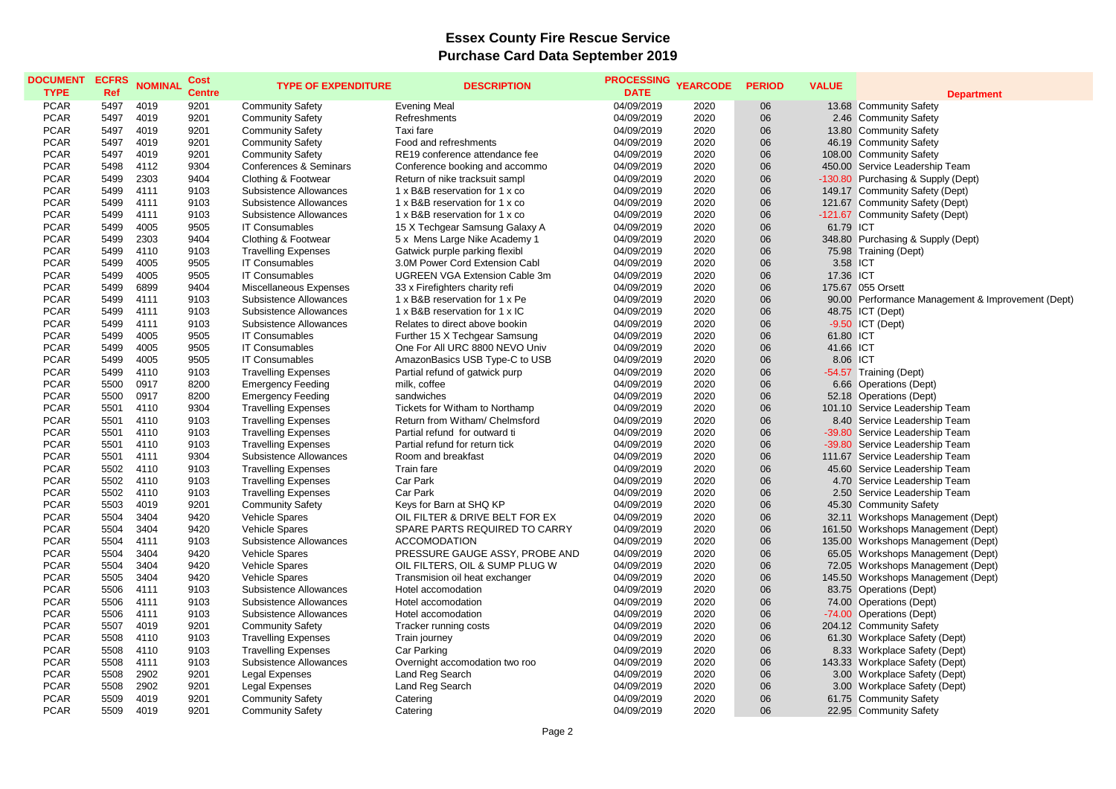## **Essex County Fire Rescue Service Purchase Card Data September 2019**

| <b>DOCUMENT</b><br><b>TYPE</b> | <b>ECFRS</b><br>Ref | <b>NOMINAL</b> | Cost<br><b>Centre</b> | <b>TYPE OF EXPENDITURE</b>    | <b>DESCRIPTION</b>             | <b>PROCESSING</b><br><b>DATE</b> | <b>YEARCODE</b> | <b>PERIOD</b> | <b>VALUE</b> | <b>Department</b>                                 |
|--------------------------------|---------------------|----------------|-----------------------|-------------------------------|--------------------------------|----------------------------------|-----------------|---------------|--------------|---------------------------------------------------|
| <b>PCAR</b>                    | 5497                | 4019           | 9201                  | <b>Community Safety</b>       | <b>Evening Meal</b>            | 04/09/2019                       | 2020            | 06            |              | 13.68 Community Safety                            |
| <b>PCAR</b>                    | 5497                | 4019           | 9201                  | <b>Community Safety</b>       | Refreshments                   | 04/09/2019                       | 2020            | 06            |              | 2.46 Community Safety                             |
| <b>PCAR</b>                    | 5497                | 4019           | 9201                  | <b>Community Safety</b>       | Taxi fare                      | 04/09/2019                       | 2020            | 06            |              | 13.80 Community Safety                            |
| <b>PCAR</b>                    | 5497                | 4019           | 9201                  | <b>Community Safety</b>       | Food and refreshments          | 04/09/2019                       | 2020            | 06            |              | 46.19 Community Safety                            |
| <b>PCAR</b>                    | 5497                | 4019           | 9201                  | <b>Community Safety</b>       | RE19 conference attendance fee | 04/09/2019                       | 2020            | 06            |              | 108.00 Community Safety                           |
| <b>PCAR</b>                    | 5498                | 4112           | 9304                  | Conferences & Seminars        | Conference booking and accommo | 04/09/2019                       | 2020            | 06            |              | 450.00 Service Leadership Team                    |
| <b>PCAR</b>                    | 5499                | 2303           | 9404                  | Clothing & Footwear           | Return of nike tracksuit sampl | 04/09/2019                       | 2020            | 06            |              | -130.80 Purchasing & Supply (Dept)                |
| <b>PCAR</b>                    | 5499                | 4111           | 9103                  | Subsistence Allowances        | 1 x B&B reservation for 1 x co | 04/09/2019                       | 2020            | 06            |              | 149.17 Community Safety (Dept)                    |
| <b>PCAR</b>                    | 5499                | 4111           | 9103                  | Subsistence Allowances        | 1 x B&B reservation for 1 x co | 04/09/2019                       | 2020            | 06            |              | 121.67 Community Safety (Dept)                    |
| <b>PCAR</b>                    | 5499                | 4111           | 9103                  | Subsistence Allowances        | 1 x B&B reservation for 1 x co | 04/09/2019                       | 2020            | 06            |              | -121.67 Community Safety (Dept)                   |
| <b>PCAR</b>                    | 5499                | 4005           | 9505                  | <b>IT Consumables</b>         | 15 X Techgear Samsung Galaxy A | 04/09/2019                       | 2020            | 06            | 61.79 ICT    |                                                   |
| <b>PCAR</b>                    | 5499                | 2303           | 9404                  | Clothing & Footwear           | 5 x Mens Large Nike Academy 1  | 04/09/2019                       | 2020            | 06            |              | 348.80 Purchasing & Supply (Dept)                 |
| <b>PCAR</b>                    | 5499                | 4110           | 9103                  | <b>Travelling Expenses</b>    | Gatwick purple parking flexibl | 04/09/2019                       | 2020            | 06            |              | 75.98 Training (Dept)                             |
| <b>PCAR</b>                    | 5499                | 4005           | 9505                  | <b>IT Consumables</b>         | 3.0M Power Cord Extension Cabl | 04/09/2019                       | 2020            | 06            | 3.58 ICT     |                                                   |
| <b>PCAR</b>                    | 5499                | 4005           | 9505                  |                               |                                |                                  |                 | 06            | 17.36 ICT    |                                                   |
|                                |                     |                |                       | <b>IT Consumables</b>         | UGREEN VGA Extension Cable 3m  | 04/09/2019                       | 2020            |               |              |                                                   |
| <b>PCAR</b>                    | 5499                | 6899           | 9404                  | <b>Miscellaneous Expenses</b> | 33 x Firefighters charity refi | 04/09/2019                       | 2020            | 06            |              | 175.67 055 Orsett                                 |
| <b>PCAR</b>                    | 5499                | 4111           | 9103                  | Subsistence Allowances        | 1 x B&B reservation for 1 x Pe | 04/09/2019                       | 2020            | 06            |              | 90.00 Performance Management & Improvement (Dept) |
| <b>PCAR</b>                    | 5499                | 4111           | 9103                  | Subsistence Allowances        | 1 x B&B reservation for 1 x IC | 04/09/2019                       | 2020            | 06            |              | 48.75 ICT (Dept)                                  |
| <b>PCAR</b>                    | 5499                | 4111           | 9103                  | Subsistence Allowances        | Relates to direct above bookin | 04/09/2019                       | 2020            | 06            |              | $-9.50$ ICT (Dept)                                |
| <b>PCAR</b>                    | 5499                | 4005           | 9505                  | <b>IT Consumables</b>         | Further 15 X Techgear Samsung  | 04/09/2019                       | 2020            | 06            | 61.80 ICT    |                                                   |
| <b>PCAR</b>                    | 5499                | 4005           | 9505                  | <b>IT Consumables</b>         | One For All URC 8800 NEVO Univ | 04/09/2019                       | 2020            | 06            | 41.66 ICT    |                                                   |
| <b>PCAR</b>                    | 5499                | 4005           | 9505                  | <b>IT Consumables</b>         | AmazonBasics USB Type-C to USB | 04/09/2019                       | 2020            | 06            | 8.06 ICT     |                                                   |
| <b>PCAR</b>                    | 5499                | 4110           | 9103                  | <b>Travelling Expenses</b>    | Partial refund of gatwick purp | 04/09/2019                       | 2020            | 06            |              | -54.57 Training (Dept)                            |
| <b>PCAR</b>                    | 5500                | 0917           | 8200                  | <b>Emergency Feeding</b>      | milk, coffee                   | 04/09/2019                       | 2020            | 06            |              | 6.66 Operations (Dept)                            |
| <b>PCAR</b>                    | 5500                | 0917           | 8200                  | <b>Emergency Feeding</b>      | sandwiches                     | 04/09/2019                       | 2020            | 06            |              | 52.18 Operations (Dept)                           |
| <b>PCAR</b>                    | 5501                | 4110           | 9304                  | <b>Travelling Expenses</b>    | Tickets for Witham to Northamp | 04/09/2019                       | 2020            | 06            |              | 101.10 Service Leadership Team                    |
| <b>PCAR</b>                    | 5501                | 4110           | 9103                  | <b>Travelling Expenses</b>    | Return from Witham/ Chelmsford | 04/09/2019                       | 2020            | 06            |              | 8.40 Service Leadership Team                      |
| <b>PCAR</b>                    | 5501                | 4110           | 9103                  | <b>Travelling Expenses</b>    | Partial refund for outward ti  | 04/09/2019                       | 2020            | 06            | $-39.80$     | Service Leadership Team                           |
| <b>PCAR</b>                    | 5501                | 4110           | 9103                  | <b>Travelling Expenses</b>    | Partial refund for return tick | 04/09/2019                       | 2020            | 06            |              | -39.80 Service Leadership Team                    |
| <b>PCAR</b>                    | 5501                | 4111           | 9304                  | Subsistence Allowances        | Room and breakfast             | 04/09/2019                       | 2020            | 06            |              | 111.67 Service Leadership Team                    |
| <b>PCAR</b>                    | 5502                | 4110           | 9103                  | <b>Travelling Expenses</b>    | Train fare                     | 04/09/2019                       | 2020            | 06            |              | 45.60 Service Leadership Team                     |
| <b>PCAR</b>                    | 5502                | 4110           | 9103                  | <b>Travelling Expenses</b>    | Car Park                       | 04/09/2019                       | 2020            | 06            |              | 4.70 Service Leadership Team                      |
| <b>PCAR</b>                    | 5502                | 4110           | 9103                  | <b>Travelling Expenses</b>    | Car Park                       | 04/09/2019                       | 2020            | 06            |              | 2.50 Service Leadership Team                      |
| <b>PCAR</b>                    | 5503                | 4019           | 9201                  | <b>Community Safety</b>       | Keys for Barn at SHQ KP        | 04/09/2019                       | 2020            | 06            |              | 45.30 Community Safety                            |
| <b>PCAR</b>                    | 5504                | 3404           | 9420                  | Vehicle Spares                | OIL FILTER & DRIVE BELT FOR EX | 04/09/2019                       | 2020            | 06            |              | 32.11 Workshops Management (Dept)                 |
| <b>PCAR</b>                    | 5504                | 3404           | 9420                  | <b>Vehicle Spares</b>         | SPARE PARTS REQUIRED TO CARRY  | 04/09/2019                       | 2020            | 06            |              | 161.50 Workshops Management (Dept)                |
| <b>PCAR</b>                    | 5504                | 4111           | 9103                  | Subsistence Allowances        | <b>ACCOMODATION</b>            | 04/09/2019                       | 2020            | 06            |              | 135.00 Workshops Management (Dept)                |
| <b>PCAR</b>                    | 5504                | 3404           | 9420                  | Vehicle Spares                | PRESSURE GAUGE ASSY, PROBE AND | 04/09/2019                       | 2020            | 06            |              | 65.05 Workshops Management (Dept)                 |
| <b>PCAR</b>                    | 5504                | 3404           | 9420                  | Vehicle Spares                | OIL FILTERS, OIL & SUMP PLUG W | 04/09/2019                       | 2020            | 06            |              | 72.05 Workshops Management (Dept)                 |
| <b>PCAR</b>                    | 5505                | 3404           | 9420                  | Vehicle Spares                | Transmision oil heat exchanger | 04/09/2019                       | 2020            | 06            |              | 145.50 Workshops Management (Dept)                |
| <b>PCAR</b>                    | 5506                | 4111           | 9103                  | Subsistence Allowances        | Hotel accomodation             | 04/09/2019                       | 2020            | 06            |              | 83.75 Operations (Dept)                           |
| <b>PCAR</b>                    | 5506                | 4111           | 9103                  | Subsistence Allowances        | Hotel accomodation             | 04/09/2019                       | 2020            | 06            |              | 74.00 Operations (Dept)                           |
| <b>PCAR</b>                    | 5506                | 4111           | 9103                  | Subsistence Allowances        | Hotel accomodation             | 04/09/2019                       | 2020            | 06            |              | -74.00 Operations (Dept)                          |
| <b>PCAR</b>                    | 5507                | 4019           | 9201                  | <b>Community Safety</b>       | Tracker running costs          | 04/09/2019                       | 2020            | 06            |              | 204.12 Community Safety                           |
| <b>PCAR</b>                    | 5508                | 4110           | 9103                  | <b>Travelling Expenses</b>    | Train journey                  | 04/09/2019                       | 2020            | 06            |              | 61.30 Workplace Safety (Dept)                     |
| <b>PCAR</b>                    | 5508                | 4110           | 9103                  | <b>Travelling Expenses</b>    | Car Parking                    | 04/09/2019                       | 2020            | 06            |              | 8.33 Workplace Safety (Dept)                      |
| <b>PCAR</b>                    | 5508                | 4111           | 9103                  | Subsistence Allowances        | Overnight accomodation two roo | 04/09/2019                       | 2020            | 06            |              | 143.33 Workplace Safety (Dept)                    |
| <b>PCAR</b>                    | 5508                | 2902           | 9201                  | <b>Legal Expenses</b>         | Land Reg Search                | 04/09/2019                       | 2020            | 06            |              | 3.00 Workplace Safety (Dept)                      |
| <b>PCAR</b>                    | 5508                | 2902           | 9201                  | <b>Legal Expenses</b>         | Land Reg Search                | 04/09/2019                       | 2020            | 06            |              | 3.00 Workplace Safety (Dept)                      |
| <b>PCAR</b>                    | 5509                | 4019           | 9201                  |                               |                                | 04/09/2019                       |                 | 06            |              | 61.75 Community Safety                            |
| <b>PCAR</b>                    |                     | 4019           | 9201                  | <b>Community Safety</b>       | Catering                       |                                  | 2020            |               |              |                                                   |
|                                | 5509                |                |                       | <b>Community Safety</b>       | Catering                       | 04/09/2019                       | 2020            | 06            |              | 22.95 Community Safety                            |